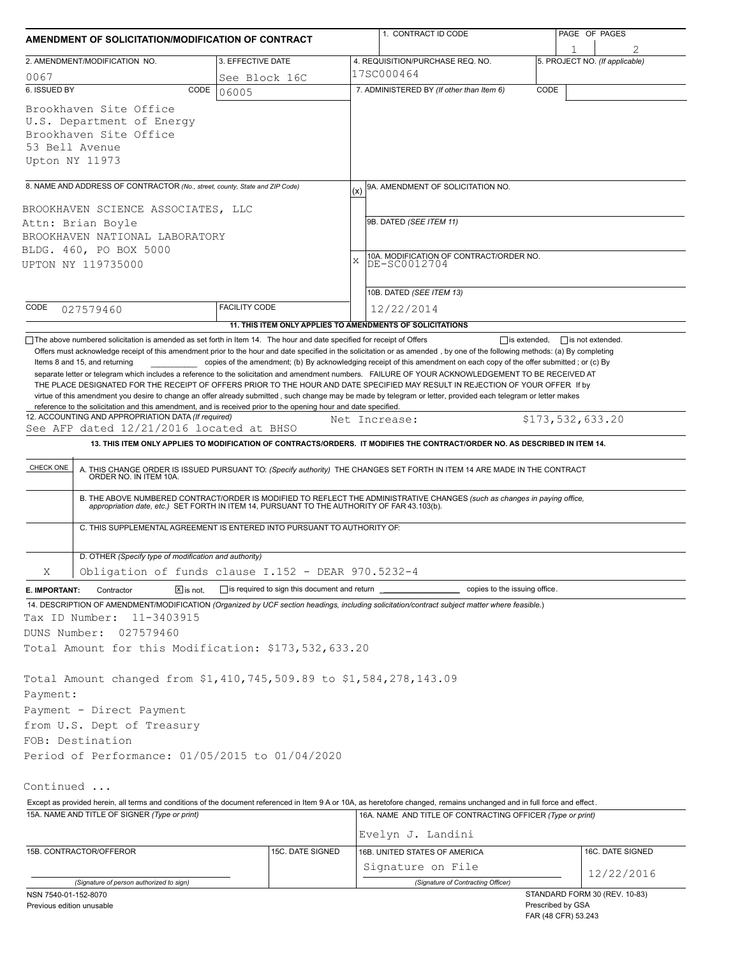| AMENDMENT OF SOLICITATION/MODIFICATION OF CONTRACT                                                                                                                                                                                                                                                                                                                                                                                                                                                                                                                           |                                                            |               | 1. CONTRACT ID CODE                                                                                                                                                                                                   |      | PAGE OF PAGES                       |  |  |
|------------------------------------------------------------------------------------------------------------------------------------------------------------------------------------------------------------------------------------------------------------------------------------------------------------------------------------------------------------------------------------------------------------------------------------------------------------------------------------------------------------------------------------------------------------------------------|------------------------------------------------------------|---------------|-----------------------------------------------------------------------------------------------------------------------------------------------------------------------------------------------------------------------|------|-------------------------------------|--|--|
| 2. AMENDMENT/MODIFICATION NO.                                                                                                                                                                                                                                                                                                                                                                                                                                                                                                                                                | 3. EFFECTIVE DATE                                          |               | 4. REQUISITION/PURCHASE REQ. NO.                                                                                                                                                                                      |      | 1<br>5. PROJECT NO. (If applicable) |  |  |
| 0067                                                                                                                                                                                                                                                                                                                                                                                                                                                                                                                                                                         | See Block 16C                                              |               | 17SC000464                                                                                                                                                                                                            |      |                                     |  |  |
| 6. ISSUED BY<br>CODE                                                                                                                                                                                                                                                                                                                                                                                                                                                                                                                                                         | 06005                                                      |               | 7. ADMINISTERED BY (If other than Item 6)                                                                                                                                                                             | CODE |                                     |  |  |
| Brookhaven Site Office<br>U.S. Department of Energy<br>Brookhaven Site Office<br>53 Bell Avenue<br>Upton NY 11973                                                                                                                                                                                                                                                                                                                                                                                                                                                            |                                                            |               |                                                                                                                                                                                                                       |      |                                     |  |  |
| 8. NAME AND ADDRESS OF CONTRACTOR (No., street, county, State and ZIP Code)                                                                                                                                                                                                                                                                                                                                                                                                                                                                                                  |                                                            |               | 9A. AMENDMENT OF SOLICITATION NO.                                                                                                                                                                                     |      |                                     |  |  |
|                                                                                                                                                                                                                                                                                                                                                                                                                                                                                                                                                                              |                                                            | (x)           |                                                                                                                                                                                                                       |      |                                     |  |  |
| BROOKHAVEN SCIENCE ASSOCIATES, LLC<br>Attn: Brian Boyle                                                                                                                                                                                                                                                                                                                                                                                                                                                                                                                      |                                                            |               | 9B. DATED (SEE ITEM 11)                                                                                                                                                                                               |      |                                     |  |  |
| BROOKHAVEN NATIONAL LABORATORY                                                                                                                                                                                                                                                                                                                                                                                                                                                                                                                                               |                                                            |               |                                                                                                                                                                                                                       |      |                                     |  |  |
| BLDG. 460, PO BOX 5000                                                                                                                                                                                                                                                                                                                                                                                                                                                                                                                                                       |                                                            |               |                                                                                                                                                                                                                       |      |                                     |  |  |
| UPTON NY 119735000                                                                                                                                                                                                                                                                                                                                                                                                                                                                                                                                                           |                                                            | X             | 10A. MODIFICATION OF CONTRACT/ORDER NO.<br>DE-SC0012704                                                                                                                                                               |      |                                     |  |  |
|                                                                                                                                                                                                                                                                                                                                                                                                                                                                                                                                                                              |                                                            |               |                                                                                                                                                                                                                       |      |                                     |  |  |
|                                                                                                                                                                                                                                                                                                                                                                                                                                                                                                                                                                              |                                                            |               | 10B. DATED (SEE ITEM 13)                                                                                                                                                                                              |      |                                     |  |  |
| CODE<br>027579460                                                                                                                                                                                                                                                                                                                                                                                                                                                                                                                                                            | <b>FACILITY CODE</b>                                       |               | 12/22/2014                                                                                                                                                                                                            |      |                                     |  |  |
|                                                                                                                                                                                                                                                                                                                                                                                                                                                                                                                                                                              | 11. THIS ITEM ONLY APPLIES TO AMENDMENTS OF SOLICITATIONS  |               |                                                                                                                                                                                                                       |      |                                     |  |  |
| separate letter or telegram which includes a reference to the solicitation and amendment numbers. FAILURE OF YOUR ACKNOWLEDGEMENT TO BE RECEIVED AT<br>THE PLACE DESIGNATED FOR THE RECEIPT OF OFFERS PRIOR TO THE HOUR AND DATE SPECIFIED MAY RESULT IN REJECTION OF YOUR OFFER If by<br>virtue of this amendment you desire to change an offer already submitted, such change may be made by telegram or letter, provided each telegram or letter makes<br>reference to the solicitation and this amendment, and is received prior to the opening hour and date specified. |                                                            |               |                                                                                                                                                                                                                       |      |                                     |  |  |
| 12. ACCOUNTING AND APPROPRIATION DATA (If required)<br>See AFP dated 12/21/2016 located at BHSO                                                                                                                                                                                                                                                                                                                                                                                                                                                                              |                                                            | Net Increase: |                                                                                                                                                                                                                       |      | \$173,532,633.20                    |  |  |
|                                                                                                                                                                                                                                                                                                                                                                                                                                                                                                                                                                              |                                                            |               | 13. THIS ITEM ONLY APPLIES TO MODIFICATION OF CONTRACTS/ORDERS. IT MODIFIES THE CONTRACT/ORDER NO. AS DESCRIBED IN ITEM 14.                                                                                           |      |                                     |  |  |
| CHECK ONE                                                                                                                                                                                                                                                                                                                                                                                                                                                                                                                                                                    |                                                            |               | A. THIS CHANGE ORDER IS ISSUED PURSUANT TO: (Specify authority) THE CHANGES SET FORTH IN ITEM 14 ARE MADE IN THE CONTRACT ORDER NO. IN ITEM 10A.                                                                      |      |                                     |  |  |
|                                                                                                                                                                                                                                                                                                                                                                                                                                                                                                                                                                              |                                                            |               | B. THE ABOVE NUMBERED CONTRACT/ORDER IS MODIFIED TO REFLECT THE ADMINISTRATIVE CHANGES (such as changes in paying office, appropriation date, etc.) SET FORTH IN ITEM 14, PURSUANT TO THE AUTHORITY OF FAR 43.103(b). |      |                                     |  |  |
| C. THIS SUPPLEMENTAL AGREEMENT IS ENTERED INTO PURSUANT TO AUTHORITY OF:                                                                                                                                                                                                                                                                                                                                                                                                                                                                                                     |                                                            |               |                                                                                                                                                                                                                       |      |                                     |  |  |
| D. OTHER (Specify type of modification and authority)                                                                                                                                                                                                                                                                                                                                                                                                                                                                                                                        |                                                            |               |                                                                                                                                                                                                                       |      |                                     |  |  |
| Obligation of funds clause I.152 - DEAR 970.5232-4<br>Χ                                                                                                                                                                                                                                                                                                                                                                                                                                                                                                                      |                                                            |               |                                                                                                                                                                                                                       |      |                                     |  |  |
| $\boxed{\mathsf{X}}$ is not.<br>E. IMPORTANT:<br>Contractor                                                                                                                                                                                                                                                                                                                                                                                                                                                                                                                  | $\Box$ is required to sign this document and return $\Box$ |               | copies to the issuing office.                                                                                                                                                                                         |      |                                     |  |  |
| 14. DESCRIPTION OF AMENDMENT/MODIFICATION (Organized by UCF section headings, including solicitation/contract subject matter where feasible.)                                                                                                                                                                                                                                                                                                                                                                                                                                |                                                            |               |                                                                                                                                                                                                                       |      |                                     |  |  |
| Tax ID Number:<br>11-3403915                                                                                                                                                                                                                                                                                                                                                                                                                                                                                                                                                 |                                                            |               |                                                                                                                                                                                                                       |      |                                     |  |  |
| DUNS Number:<br>027579460                                                                                                                                                                                                                                                                                                                                                                                                                                                                                                                                                    |                                                            |               |                                                                                                                                                                                                                       |      |                                     |  |  |
| Total Amount for this Modification: \$173,532,633.20                                                                                                                                                                                                                                                                                                                                                                                                                                                                                                                         |                                                            |               |                                                                                                                                                                                                                       |      |                                     |  |  |
|                                                                                                                                                                                                                                                                                                                                                                                                                                                                                                                                                                              |                                                            |               |                                                                                                                                                                                                                       |      |                                     |  |  |
| Total Amount changed from \$1,410,745,509.89 to \$1,584,278,143.09                                                                                                                                                                                                                                                                                                                                                                                                                                                                                                           |                                                            |               |                                                                                                                                                                                                                       |      |                                     |  |  |
| Payment:<br>Payment - Direct Payment                                                                                                                                                                                                                                                                                                                                                                                                                                                                                                                                         |                                                            |               |                                                                                                                                                                                                                       |      |                                     |  |  |
|                                                                                                                                                                                                                                                                                                                                                                                                                                                                                                                                                                              |                                                            |               |                                                                                                                                                                                                                       |      |                                     |  |  |
| from U.S. Dept of Treasury<br>FOB: Destination                                                                                                                                                                                                                                                                                                                                                                                                                                                                                                                               |                                                            |               |                                                                                                                                                                                                                       |      |                                     |  |  |
| Period of Performance: 01/05/2015 to 01/04/2020                                                                                                                                                                                                                                                                                                                                                                                                                                                                                                                              |                                                            |               |                                                                                                                                                                                                                       |      |                                     |  |  |
|                                                                                                                                                                                                                                                                                                                                                                                                                                                                                                                                                                              |                                                            |               |                                                                                                                                                                                                                       |      |                                     |  |  |
| Continued                                                                                                                                                                                                                                                                                                                                                                                                                                                                                                                                                                    |                                                            |               |                                                                                                                                                                                                                       |      |                                     |  |  |
| Except as provided herein, all terms and conditions of the document referenced in Item 9 A or 10A, as heretofore changed, remains unchanged and in full force and effect.                                                                                                                                                                                                                                                                                                                                                                                                    |                                                            |               |                                                                                                                                                                                                                       |      |                                     |  |  |
| 15A. NAME AND TITLE OF SIGNER (Type or print)                                                                                                                                                                                                                                                                                                                                                                                                                                                                                                                                |                                                            |               | 16A. NAME AND TITLE OF CONTRACTING OFFICER (Type or print)                                                                                                                                                            |      |                                     |  |  |
|                                                                                                                                                                                                                                                                                                                                                                                                                                                                                                                                                                              |                                                            |               | Evelyn J. Landini                                                                                                                                                                                                     |      |                                     |  |  |
| 15B. CONTRACTOR/OFFEROR                                                                                                                                                                                                                                                                                                                                                                                                                                                                                                                                                      | 15C. DATE SIGNED                                           |               | 16B. UNITED STATES OF AMERICA                                                                                                                                                                                         |      | 16C. DATE SIGNED                    |  |  |
|                                                                                                                                                                                                                                                                                                                                                                                                                                                                                                                                                                              |                                                            |               | Signature on File                                                                                                                                                                                                     |      |                                     |  |  |
| (Signature of person authorized to sign)                                                                                                                                                                                                                                                                                                                                                                                                                                                                                                                                     |                                                            |               | (Signature of Contracting Officer)                                                                                                                                                                                    |      | 12/22/2016                          |  |  |
| NSN 7540-01-152-8070                                                                                                                                                                                                                                                                                                                                                                                                                                                                                                                                                         |                                                            |               |                                                                                                                                                                                                                       |      | STANDARD FORM 30 (REV. 10-83)       |  |  |
| Previous edition unusable                                                                                                                                                                                                                                                                                                                                                                                                                                                                                                                                                    |                                                            |               |                                                                                                                                                                                                                       |      | Prescribed by GSA                   |  |  |